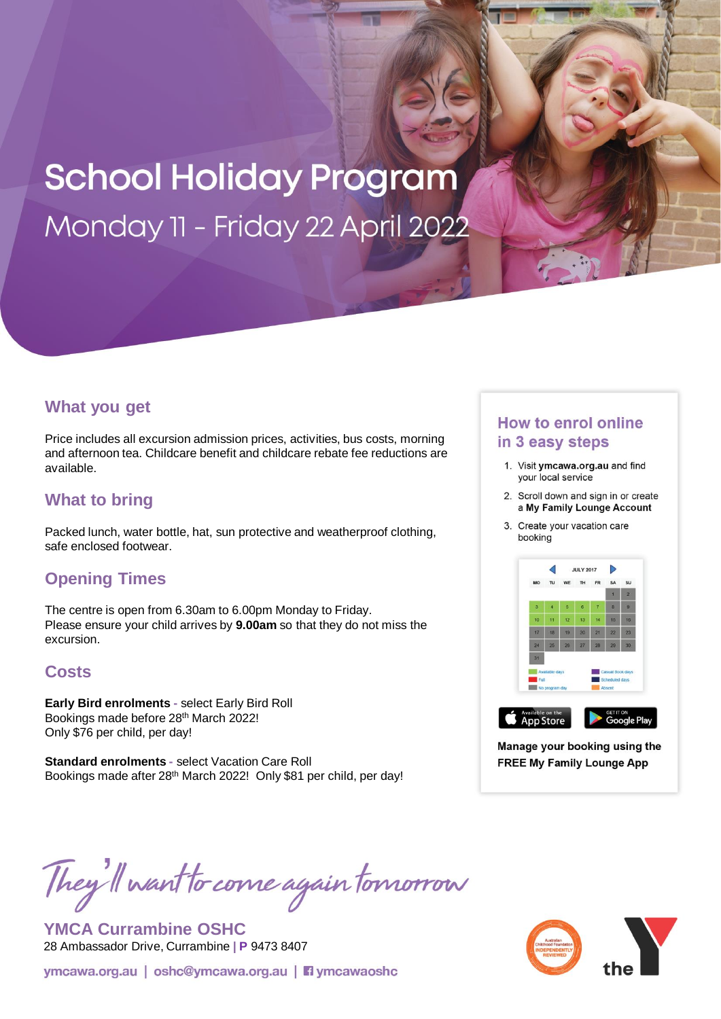# **School Holiday Program** Monday 11 - Friday 22 April 2022

## **What you get**

Price includes all excursion admission prices, activities, bus costs, morning and afternoon tea. Childcare benefit and childcare rebate fee reductions are available.

## **What to bring**

Packed lunch, water bottle, hat, sun protective and weatherproof clothing, safe enclosed footwear.

## **Opening Times**

The centre is open from 6.30am to 6.00pm Monday to Friday. Please ensure your child arrives by **9.00am** so that they do not miss the excursion.

## **Costs**

**Early Bird enrolments -** select Early Bird Roll Bookings made before 28th March 2022! Only \$76 per child, per day!

**Standard enrolments -** select Vacation Care Roll Bookings made after 28<sup>th</sup> March 2022! Only \$81 per child, per day!

## **How to enrol online** in 3 easy steps

- 1. Visit ymcawa.org.au and find your local service
- 2. Scroll down and sign in or create a My Family Lounge Account
- 3. Create your vacation care booking



Manage your booking using the **FREE My Family Lounge App** 

They'll want to come again tomorrow

**YMCA Currambine OSHC** 28 Ambassador Drive, Currambine **| P** 9473 8407

ymcawa.org.au | oshc@ymcawa.org.au | **Fi** ymcawaoshc